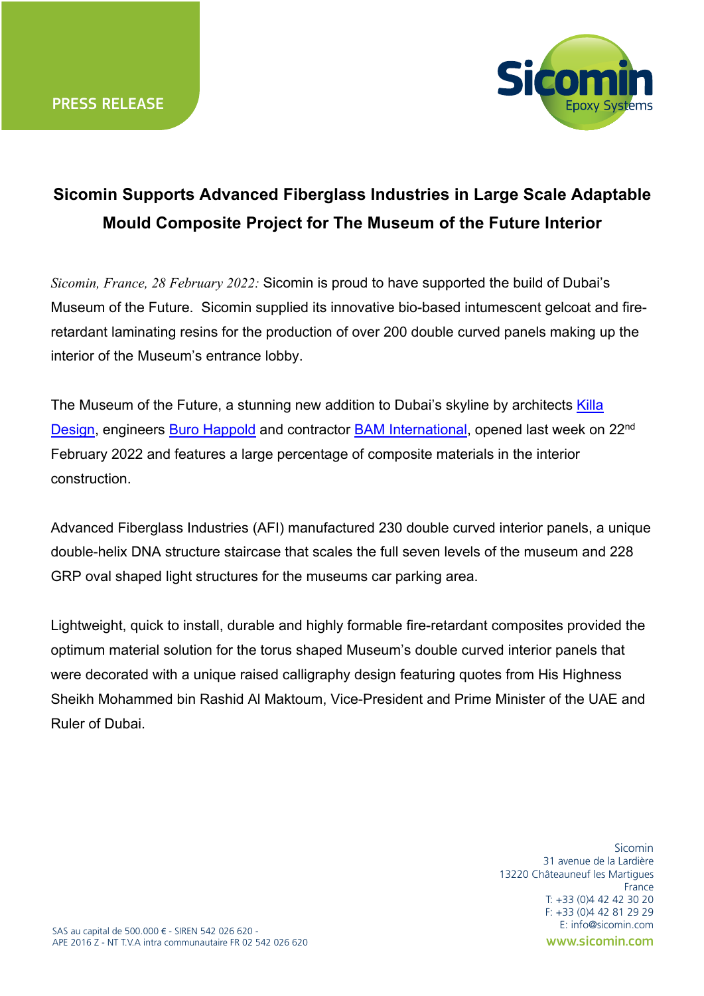

## **Sicomin Supports Advanced Fiberglass Industries in Large Scale Adaptable Mould Composite Project for The Museum of the Future Interior**

*Sicomin, France, 28 February 2022:* Sicomin is proud to have supported the build of Dubai's Museum of the Future. Sicomin supplied its innovative bio-based intumescent gelcoat and fireretardant laminating resins for the production of over 200 double curved panels making up the interior of the Museum's entrance lobby.

The Museum of the Future, a stunning new addition to Dubai's skyline by architects Killa Design, engineers Buro Happold and contractor BAM International, opened last week on 22nd February 2022 and features a large percentage of composite materials in the interior construction.

Advanced Fiberglass Industries (AFI) manufactured 230 double curved interior panels, a unique double-helix DNA structure staircase that scales the full seven levels of the museum and 228 GRP oval shaped light structures for the museums car parking area.

Lightweight, quick to install, durable and highly formable fire-retardant composites provided the optimum material solution for the torus shaped Museum's double curved interior panels that were decorated with a unique raised calligraphy design featuring quotes from His Highness Sheikh Mohammed bin Rashid Al Maktoum, Vice-President and Prime Minister of the UAE and Ruler of Dubai.

> **Sicomin** 31 avenue de la Lardière 13220 Châteauneuf les Martigues France T: +33 (0)4 42 42 30 20 F: +33 (0)4 42 81 29 29 E: info@sicomin.com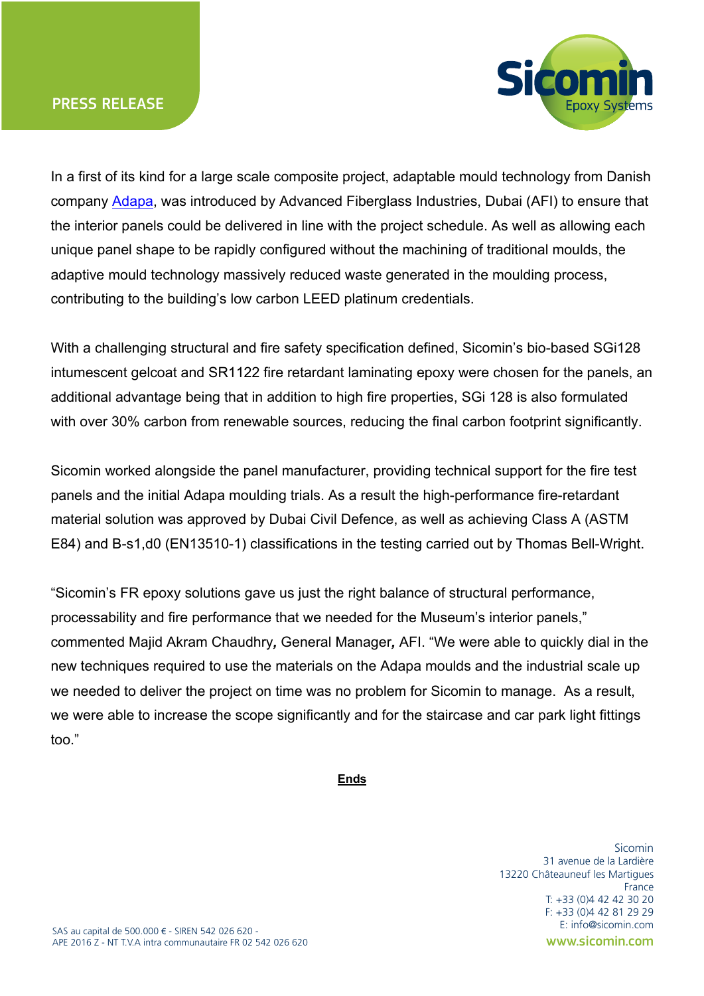



In a first of its kind for a large scale composite project, adaptable mould technology from Danish company Adapa, was introduced by Advanced Fiberglass Industries, Dubai (AFI) to ensure that the interior panels could be delivered in line with the project schedule. As well as allowing each unique panel shape to be rapidly configured without the machining of traditional moulds, the adaptive mould technology massively reduced waste generated in the moulding process, contributing to the building's low carbon LEED platinum credentials.

With a challenging structural and fire safety specification defined, Sicomin's bio-based SGi128 intumescent gelcoat and SR1122 fire retardant laminating epoxy were chosen for the panels, an additional advantage being that in addition to high fire properties, SGi 128 is also formulated with over 30% carbon from renewable sources, reducing the final carbon footprint significantly.

Sicomin worked alongside the panel manufacturer, providing technical support for the fire test panels and the initial Adapa moulding trials. As a result the high-performance fire-retardant material solution was approved by Dubai Civil Defence, as well as achieving Class A (ASTM E84) and B-s1,d0 (EN13510-1) classifications in the testing carried out by Thomas Bell-Wright.

"Sicomin's FR epoxy solutions gave us just the right balance of structural performance, processability and fire performance that we needed for the Museum's interior panels," commented Majid Akram Chaudhry*,* General Manager*,* AFI. "We were able to quickly dial in the new techniques required to use the materials on the Adapa moulds and the industrial scale up we needed to deliver the project on time was no problem for Sicomin to manage. As a result, we were able to increase the scope significantly and for the staircase and car park light fittings too."

## **Ends**

**Sicomin** 31 avenue de la Lardière 13220 Châteauneuf les Martigues France T: +33 (0)4 42 42 30 20 F: +33 (0)4 42 81 29 29 E: info@sicomin.com